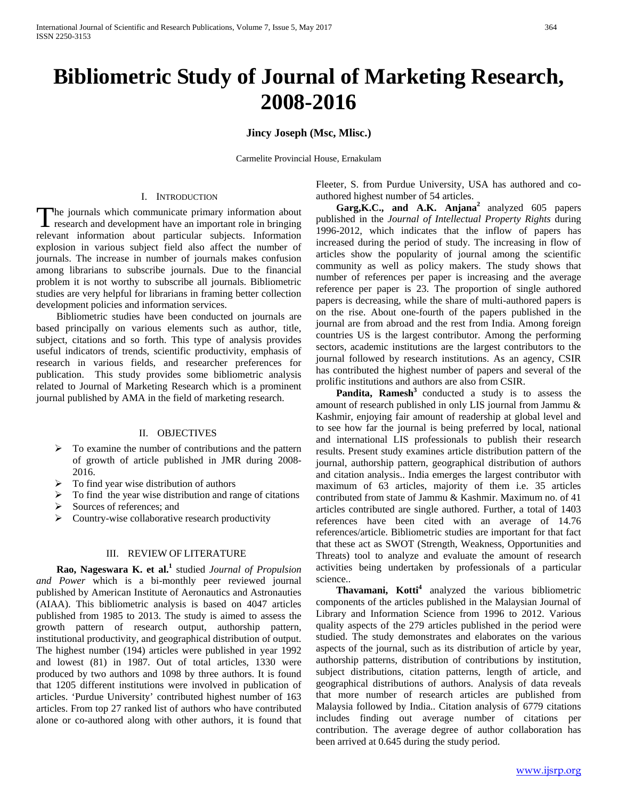# **Bibliometric Study of Journal of Marketing Research, 2008-2016**

**Jincy Joseph (Msc, Mlisc.)**

Carmelite Provincial House, Ernakulam

### I. INTRODUCTION

The journals which communicate primary information about The journals which communicate primary information about research and development have an important role in bringing relevant information about particular subjects. Information explosion in various subject field also affect the number of journals. The increase in number of journals makes confusion among librarians to subscribe journals. Due to the financial problem it is not worthy to subscribe all journals. Bibliometric studies are very helpful for librarians in framing better collection development policies and information services.

 Bibliometric studies have been conducted on journals are based principally on various elements such as author, title, subject, citations and so forth. This type of analysis provides useful indicators of trends, scientific productivity, emphasis of research in various fields, and researcher preferences for publication. This study provides some bibliometric analysis related to Journal of Marketing Research which is a prominent journal published by AMA in the field of marketing research.

#### II. OBJECTIVES

- $\triangleright$  To examine the number of contributions and the pattern of growth of article published in JMR during 2008- 2016.
- $\triangleright$  To find year wise distribution of authors
- To find the year wise distribution and range of citations
- Sources of references; and
- $\triangleright$  Country-wise collaborative research productivity

## III. REVIEW OF LITERATURE

 **Rao, Nageswara K. et al.1** studied *Journal of Propulsion and Power* which is a bi-monthly peer reviewed journal published by American Institute of Aeronautics and Astronauties (AIAA). This bibliometric analysis is based on 4047 articles published from 1985 to 2013. The study is aimed to assess the growth pattern of research output, authorship pattern, institutional productivity, and geographical distribution of output. The highest number (194) articles were published in year 1992 and lowest (81) in 1987. Out of total articles, 1330 were produced by two authors and 1098 by three authors. It is found that 1205 different institutions were involved in publication of articles. 'Purdue University' contributed highest number of 163 articles. From top 27 ranked list of authors who have contributed alone or co-authored along with other authors, it is found that

Fleeter, S. from Purdue University, USA has authored and coauthored highest number of 54 articles.

 **Garg,K.C., and A.K. Anjana<sup>2</sup>**analyzed 605 papers published in the *Journal of Intellectual Property Rights* during 1996-2012, which indicates that the inflow of papers has increased during the period of study. The increasing in flow of articles show the popularity of journal among the scientific community as well as policy makers. The study shows that number of references per paper is increasing and the average reference per paper is 23. The proportion of single authored papers is decreasing, while the share of multi-authored papers is on the rise. About one-fourth of the papers published in the journal are from abroad and the rest from India. Among foreign countries US is the largest contributor. Among the performing sectors, academic institutions are the largest contributors to the journal followed by research institutions. As an agency, CSIR has contributed the highest number of papers and several of the prolific institutions and authors are also from CSIR.

**Pandita, Ramesh<sup>3</sup>** conducted a study is to assess the amount of research published in only LIS journal from Jammu & Kashmir, enjoying fair amount of readership at global level and to see how far the journal is being preferred by local, national and international LIS professionals to publish their research results. Present study examines article distribution pattern of the journal, authorship pattern, geographical distribution of authors and citation analysis.. India emerges the largest contributor with maximum of 63 articles, majority of them i.e. 35 articles contributed from state of Jammu & Kashmir. Maximum no. of 41 articles contributed are single authored. Further, a total of 1403 references have been cited with an average of 14.76 references/article. Bibliometric studies are important for that fact that these act as SWOT (Strength, Weakness, Opportunities and Threats) tool to analyze and evaluate the amount of research activities being undertaken by professionals of a particular science..

Thavamani, Kotti<sup>4</sup> analyzed the various bibliometric components of the articles published in the Malaysian Journal of Library and Information Science from 1996 to 2012. Various quality aspects of the 279 articles published in the period were studied. The study demonstrates and elaborates on the various aspects of the journal, such as its distribution of article by year, authorship patterns, distribution of contributions by institution, subject distributions, citation patterns, length of article, and geographical distributions of authors. Analysis of data reveals that more number of research articles are published from Malaysia followed by India.. Citation analysis of 6779 citations includes finding out average number of citations per contribution. The average degree of author collaboration has been arrived at 0.645 during the study period.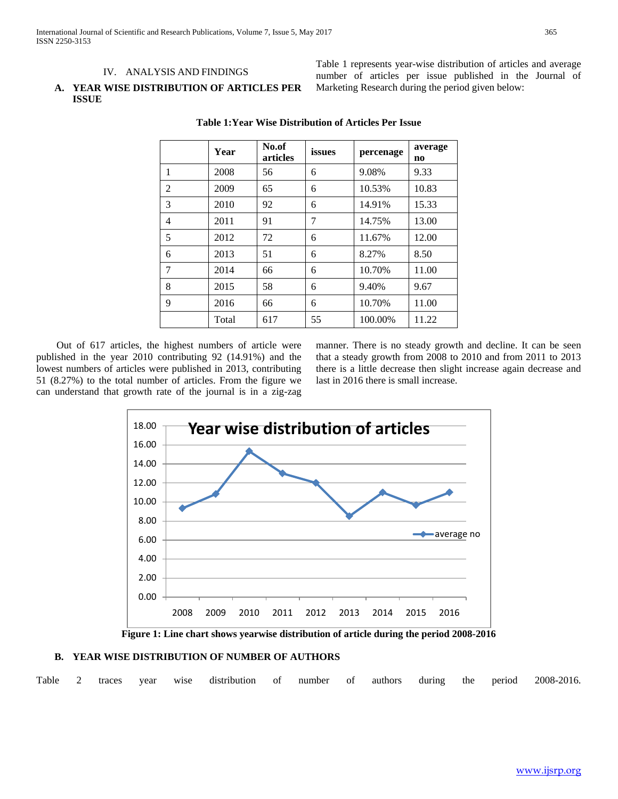## IV. ANALYSIS AND FINDINGS

## **A. YEAR WISE DISTRIBUTION OF ARTICLES PER ISSUE**

Table 1 represents year-wise distribution of articles and average number of articles per issue published in the Journal of Marketing Research during the period given below:

|   | Year  | No.of<br>articles | issues | percenage | average<br>no |
|---|-------|-------------------|--------|-----------|---------------|
| 1 | 2008  | 56                | 6      | 9.08%     | 9.33          |
| 2 | 2009  | 65                | 6      | 10.53%    | 10.83         |
| 3 | 2010  | 92                | 6      | 14.91%    | 15.33         |
| 4 | 2011  | 91                | 7      | 14.75%    | 13.00         |
| 5 | 2012  | 72                | 6      | 11.67%    | 12.00         |
| 6 | 2013  | 51                | 6      | 8.27%     | 8.50          |
| 7 | 2014  | 66                | 6      | 10.70%    | 11.00         |
| 8 | 2015  | 58                | 6      | 9.40%     | 9.67          |
| 9 | 2016  | 66                | 6      | 10.70%    | 11.00         |
|   | Total | 617               | 55     | 100.00%   | 11.22         |

**Table 1:Year Wise Distribution of Articles Per Issue**

 Out of 617 articles, the highest numbers of article were published in the year 2010 contributing 92 (14.91%) and the lowest numbers of articles were published in 2013, contributing 51 (8.27%) to the total number of articles. From the figure we can understand that growth rate of the journal is in a zig-zag manner. There is no steady growth and decline. It can be seen that a steady growth from 2008 to 2010 and from 2011 to 2013 there is a little decrease then slight increase again decrease and last in 2016 there is small increase.



**Figure 1: Line chart shows yearwise distribution of article during the period 2008-2016**

#### **B. YEAR WISE DISTRIBUTION OF NUMBER OF AUTHORS**

Table 2 traces year wise distribution of number of authors during the period 2008-2016.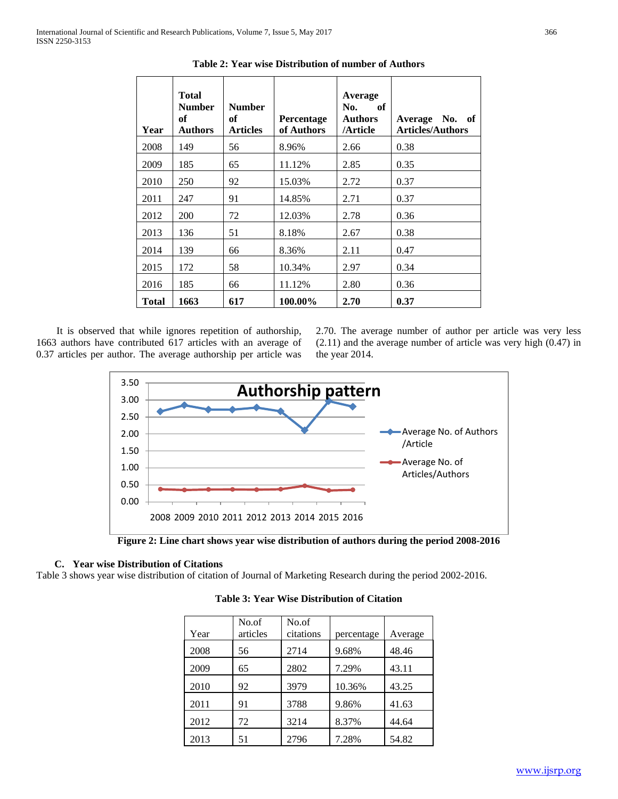| Year  | <b>Total</b><br><b>Number</b><br>of<br><b>Authors</b> | <b>Number</b><br>of<br><b>Articles</b> | <b>Percentage</b><br>of Authors | Average<br>of<br>No.<br><b>Authors</b><br>/Article | Average No.<br>- of<br><b>Articles/Authors</b> |
|-------|-------------------------------------------------------|----------------------------------------|---------------------------------|----------------------------------------------------|------------------------------------------------|
| 2008  | 149                                                   | 56                                     | 8.96%                           | 2.66                                               | 0.38                                           |
| 2009  | 185                                                   | 65                                     | 11.12%                          | 2.85                                               | 0.35                                           |
| 2010  | 250                                                   | 92                                     | 15.03%                          | 2.72                                               | 0.37                                           |
| 2011  | 247                                                   | 91                                     | 14.85%                          | 2.71                                               | 0.37                                           |
| 2012  | <b>200</b>                                            | 72                                     | 12.03%                          | 2.78                                               | 0.36                                           |
| 2013  | 136                                                   | 51                                     | 8.18%                           | 2.67                                               | 0.38                                           |
| 2014  | 139                                                   | 66                                     | 8.36%                           | 2.11                                               | 0.47                                           |
| 2015  | 172                                                   | 58                                     | 10.34%                          | 2.97                                               | 0.34                                           |
| 2016  | 185                                                   | 66                                     | 11.12%                          | 2.80                                               | 0.36                                           |
| Total | 1663                                                  | 617                                    | 100.00%                         | 2.70                                               | 0.37                                           |

**Table 2: Year wise Distribution of number of Authors**

 It is observed that while ignores repetition of authorship, 1663 authors have contributed 617 articles with an average of 0.37 articles per author. The average authorship per article was 2.70. The average number of author per article was very less (2.11) and the average number of article was very high (0.47) in the year 2014.



**Figure 2: Line chart shows year wise distribution of authors during the period 2008-2016**

# **C. Year wise Distribution of Citations**

Table 3 shows year wise distribution of citation of Journal of Marketing Research during the period 2002-2016.

| Year | No.of<br>articles | No.of<br>citations | percentage | Average |
|------|-------------------|--------------------|------------|---------|
| 2008 | 56                | 2714               | 9.68%      | 48.46   |
| 2009 | 65                | 2802               | 7.29%      | 43.11   |
| 2010 | 92                | 3979               | 10.36%     | 43.25   |
| 2011 | 91                | 3788               | 9.86%      | 41.63   |
| 2012 | 72                | 3214               | 8.37%      | 44.64   |
| 2013 | 51                | 2796               | 7.28%      | 54.82   |

**Table 3: Year Wise Distribution of Citation**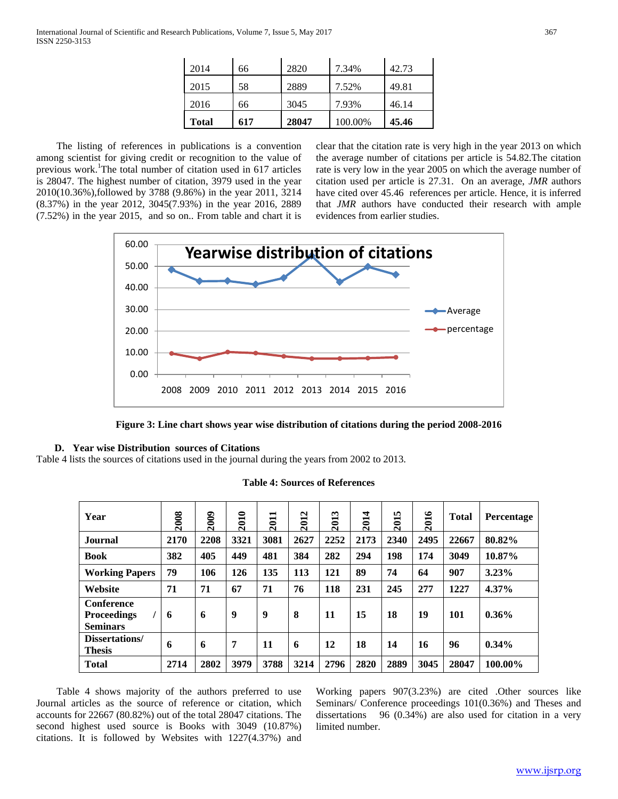| Total | 617 | 28047 | 100.00% | 45.46 |
|-------|-----|-------|---------|-------|
| 2016  | 66  | 3045  | 7.93%   | 46.14 |
| 2015  | 58  | 2889  | 7.52%   | 49.81 |
| 2014  | 66  | 2820  | 7.34%   | 42.73 |

 The listing of references in publications is a convention among scientist for giving credit or recognition to the value of previous work.<sup>1</sup>The total number of citation used in 617 articles is 28047. The highest number of citation, 3979 used in the year 2010(10.36%),followed by 3788 (9.86%) in the year 2011, 3214 (8.37%) in the year 2012, 3045(7.93%) in the year 2016, 2889 (7.52%) in the year 2015, and so on.. From table and chart it is

clear that the citation rate is very high in the year 2013 on which the average number of citations per article is 54.82.The citation rate is very low in the year 2005 on which the average number of citation used per article is 27.31. On an average, *JMR* authors have cited over 45.46 references per article. Hence, it is inferred that *JMR* authors have conducted their research with ample evidences from earlier studies.





# **D. Year wise Distribution sources of Citations**

Table 4 lists the sources of citations used in the journal during the years from 2002 to 2013.

| Year                                                       | 2008 | <b>2009</b> | 2010 | −<br>201 | 2012 | $\sim$<br>201 | 4<br>$\overline{201}$ | m<br>201 | 2016 | <b>Total</b> | <b>Percentage</b> |
|------------------------------------------------------------|------|-------------|------|----------|------|---------------|-----------------------|----------|------|--------------|-------------------|
| <b>Journal</b>                                             | 2170 | 2208        | 3321 | 3081     | 2627 | 2252          | 2173                  | 2340     | 2495 | 22667        | 80.82%            |
| <b>Book</b>                                                | 382  | 405         | 449  | 481      | 384  | 282           | 294                   | 198      | 174  | 3049         | 10.87%            |
| <b>Working Papers</b>                                      | 79   | 106         | 126  | 135      | 113  | 121           | 89                    | 74       | 64   | 907          | 3.23%             |
| Website                                                    | 71   | 71          | 67   | 71       | 76   | 118           | 231                   | 245      | 277  | 1227         | 4.37%             |
| <b>Conference</b><br><b>Proceedings</b><br><b>Seminars</b> | 6    | 6           | 9    | 9        | 8    | 11            | 15                    | 18       | 19   | 101          | $0.36\%$          |
| Dissertations/<br><b>Thesis</b>                            | 6    | 6           | 7    | 11       | 6    | 12            | 18                    | 14       | 16   | 96           | $0.34\%$          |
| <b>Total</b>                                               | 2714 | 2802        | 3979 | 3788     | 3214 | 2796          | 2820                  | 2889     | 3045 | 28047        | 100.00%           |

## **Table 4: Sources of References**

 Table 4 shows majority of the authors preferred to use Journal articles as the source of reference or citation, which accounts for 22667 (80.82%) out of the total 28047 citations. The second highest used source is Books with 3049 (10.87%) citations. It is followed by Websites with 1227(4.37%) and

Working papers 907(3.23%) are cited .Other sources like Seminars/ Conference proceedings 101(0.36%) and Theses and dissertations 96 (0.34%) are also used for citation in a very limited number.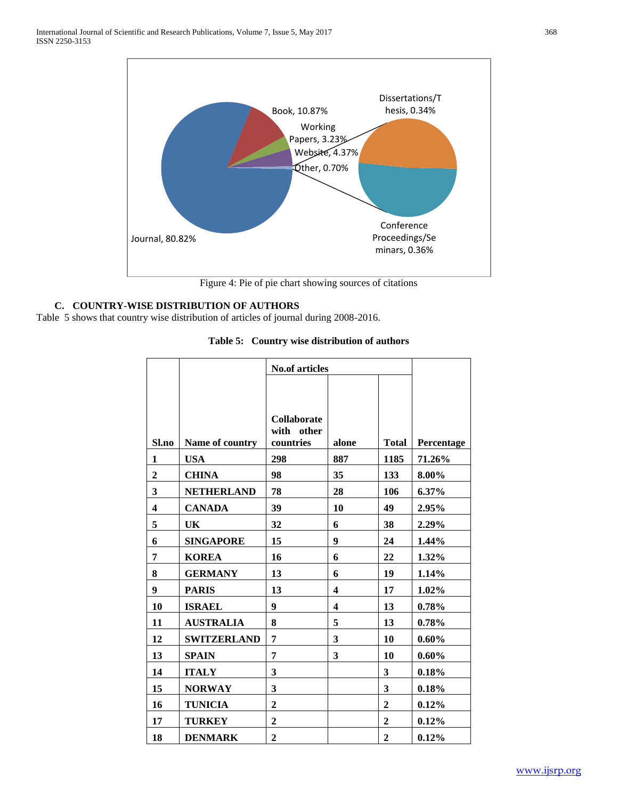

Figure 4: Pie of pie chart showing sources of citations

# **C. COUNTRY-WISE DISTRIBUTION OF AUTHORS**

Table 5 shows that country wise distribution of articles of journal during 2008-2016.

|                         |                    | <b>No.of articles</b>                            |                         |                |            |
|-------------------------|--------------------|--------------------------------------------------|-------------------------|----------------|------------|
|                         |                    |                                                  |                         |                |            |
|                         |                    |                                                  |                         |                |            |
| Sl.no                   | Name of country    | <b>Collaborate</b><br>with<br>other<br>countries | alone                   | <b>Total</b>   | Percentage |
| 1                       | <b>USA</b>         | 298                                              | 887                     | 1185           | 71.26%     |
| $\boldsymbol{2}$        | <b>CHINA</b>       | 98                                               | 35                      | 133            | 8.00%      |
| $\mathbf{3}$            | <b>NETHERLAND</b>  | 78                                               | 28                      | 106            | $6.37\%$   |
| $\overline{\mathbf{4}}$ | <b>CANADA</b>      | 39                                               | 10                      | 49             | 2.95%      |
| 5                       | UK                 | 32                                               | 6                       | 38             | 2.29%      |
| 6                       | <b>SINGAPORE</b>   | 15                                               | 9                       | 24             | 1.44%      |
| 7                       | <b>KOREA</b>       | 16                                               | 6                       | 22             | 1.32%      |
| 8                       | <b>GERMANY</b>     | 13                                               | 6                       | 19             | 1.14%      |
| 9                       | <b>PARIS</b>       | 13                                               | $\overline{\mathbf{4}}$ | 17             | 1.02%      |
| 10                      | <b>ISRAEL</b>      | 9                                                | $\boldsymbol{4}$        | 13             | 0.78%      |
| 11                      | <b>AUSTRALIA</b>   | 8                                                | 5                       | 13             | 0.78%      |
| 12                      | <b>SWITZERLAND</b> | 7                                                | 3                       | 10             | $0.60\%$   |
| 13                      | <b>SPAIN</b>       | 7                                                | 3                       | 10             | 0.60%      |
| 14                      | <b>ITALY</b>       | 3                                                |                         | 3              | 0.18%      |
| 15                      | <b>NORWAY</b>      | 3                                                |                         | 3              | 0.18%      |
| 16                      | <b>TUNICIA</b>     | $\mathbf{2}$                                     |                         | $\mathbf{2}$   | 0.12%      |
| 17                      | <b>TURKEY</b>      | $\overline{2}$                                   |                         | $\overline{2}$ | 0.12%      |
| 18                      | <b>DENMARK</b>     | $\overline{2}$                                   |                         | $\overline{2}$ | 0.12%      |

# **Table 5: Country wise distribution of authors**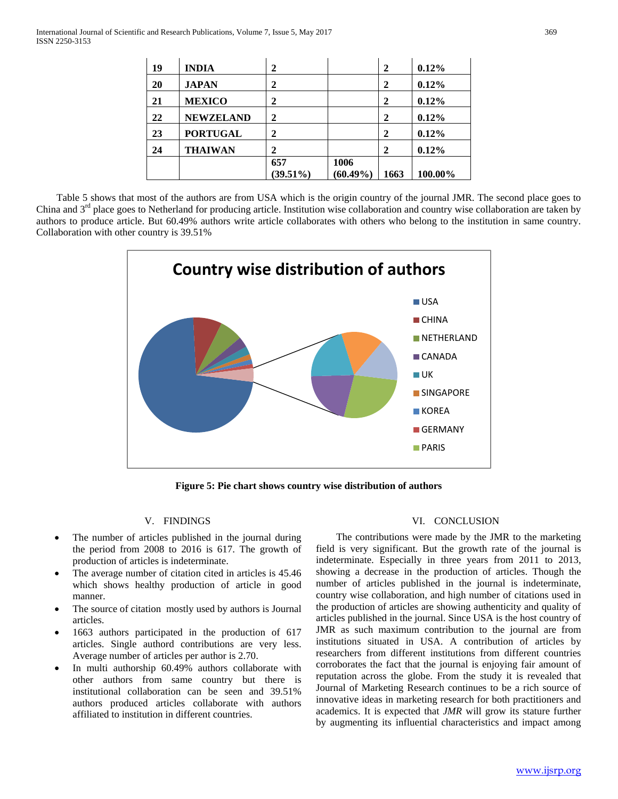| 19 | <b>INDIA</b>     | 2            |             | $\mathbf{2}$ | $0.12\%$ |
|----|------------------|--------------|-------------|--------------|----------|
| 20 | <b>JAPAN</b>     | $\mathbf{2}$ |             | $\mathbf{2}$ | 0.12%    |
| 21 | <b>MEXICO</b>    | 2            |             | $\mathbf{2}$ | 0.12%    |
| 22 | <b>NEWZELAND</b> | $\mathbf{2}$ |             | 2            | 0.12%    |
| 23 | <b>PORTUGAL</b>  | $\mathbf{2}$ |             | 2            | 0.12%    |
| 24 | <b>THAIWAN</b>   | $\mathbf 2$  |             | $\mathbf{2}$ | 0.12%    |
|    |                  | 657          | 1006        |              |          |
|    |                  | $(39.51\%)$  | $(60.49\%)$ | 1663         | 100.00%  |

 Table 5 shows that most of the authors are from USA which is the origin country of the journal JMR. The second place goes to China and  $3<sup>rd</sup>$  place goes to Netherland for producing article. Institution wise collaboration and country wise collaboration are taken by authors to produce article. But 60.49% authors write article collaborates with others who belong to the institution in same country. Collaboration with other country is 39.51%



**Figure 5: Pie chart shows country wise distribution of authors**

## V. FINDINGS

- The number of articles published in the journal during the period from 2008 to 2016 is 617. The growth of production of articles is indeterminate.
- The average number of citation cited in articles is 45.46 which shows healthy production of article in good manner.
- The source of citation mostly used by authors is Journal articles.
- 1663 authors participated in the production of 617 articles. Single authord contributions are very less. Average number of articles per author is 2.70.
- In multi authorship 60.49% authors collaborate with other authors from same country but there is institutional collaboration can be seen and 39.51% authors produced articles collaborate with authors affiliated to institution in different countries.

### VI. CONCLUSION

 The contributions were made by the JMR to the marketing field is very significant. But the growth rate of the journal is indeterminate. Especially in three years from 2011 to 2013, showing a decrease in the production of articles. Though the number of articles published in the journal is indeterminate, country wise collaboration, and high number of citations used in the production of articles are showing authenticity and quality of articles published in the journal. Since USA is the host country of JMR as such maximum contribution to the journal are from institutions situated in USA. A contribution of articles by researchers from different institutions from different countries corroborates the fact that the journal is enjoying fair amount of reputation across the globe. From the study it is revealed that Journal of Marketing Research continues to be a rich source of innovative ideas in marketing research for both practitioners and academics. It is expected that *JMR* will grow its stature further by augmenting its influential characteristics and impact among